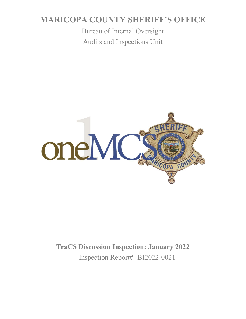# **MARICOPA COUNTY SHERIFF'S OFFICE**

Bureau of Internal Oversight Audits and Inspections Unit



**TraCS Discussion Inspection: January 2022** Inspection Report# BI2022-0021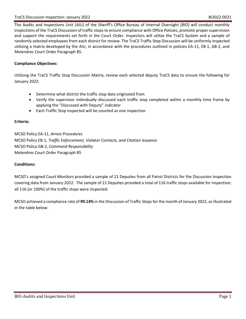The Audits and Inspections Unit (AIU) of the Sheriff's Office Bureau of Internal Oversight (BIO) will conduct monthly inspections of the TraCS Discussion of traffic stops to ensure compliance with Office Policies, promote proper supervision and support the requirements set forth in the Court Order. Inspectors will utilize the TraCS System and a sample of randomly selected employees from each district for review. The TraCS Traffic Stop Discussion will be uniformly inspected utilizing a matrix developed by the AIU, in accordance with the procedures outlined in policies EA-11, EB-1, GB-2, and Melendres Court Order Paragraph 85.

### **Compliance Objectives:**

Utilizing the TraCS Traffic Stop Discussion Matrix, review each selected deputy TraCS data to ensure the following for January 2022:

- Determine what district the traffic stop data originated from
- Verify the supervisor individually discussed each traffic stop completed within a monthly time frame by applying the "Discussed with Deputy" indicator
- Each Traffic Stop inspected will be counted as one inspection

#### **Criteria:**

MCSO Policy EA-11, *Arrest Procedures* MCSO Policy EB-1*, Traffic Enforcement, Violator Contacts, and Citation Issuance* MCSO Policy GB-2, *Command Responsibility* Melendres Court Order Paragraph 85

#### **Conditions:**

MCSO's assigned Court Monitors provided a sample of 21 Deputies from all Patrol Districts for the Discussion Inspection covering data from January 2022. The sample of 21 Deputies provided a total of 116 traffic stops available for inspection; all 116 (or 100%) of the traffic stops were inspected.

MCSO achieved a compliance rate of **99.14%** in the Discussion of Traffic Stops for the month of January 2022, as illustrated in the table below: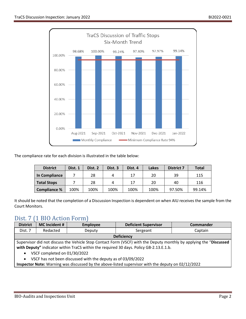

The compliance rate for each division is illustrated in the table below:

| <b>District</b>    | Dist. 1 | Dist. 2 | Dist. 3 | Dist. 4 | Lakes | <b>District 7</b> | <b>Total</b> |
|--------------------|---------|---------|---------|---------|-------|-------------------|--------------|
| In Compliance      |         | 28      |         | 17      | 20    | 39                | 115          |
| <b>Total Stops</b> |         | 28      |         | 17      | 20    | 40                | 116          |
| Compliance %       | 100%    | 100%    | 100%    | 100%    | 100%  | 97.50%            | 99.14%       |

It should be noted that the completion of a Discussion Inspection is dependent on when AIU receives the sample from the Court Monitors.

## Dist. 7 (1 BIO Action Form)

| <b>District</b>                                                                                                    | MC Incident # | <b>Employee</b> | <b>Deficient Supervisor</b> | <b>Commander</b> |  |  |
|--------------------------------------------------------------------------------------------------------------------|---------------|-----------------|-----------------------------|------------------|--|--|
| Dist. 7                                                                                                            | Redacted      | Deputy          | Sergeant                    | Captain          |  |  |
| <b>Deficiency</b>                                                                                                  |               |                 |                             |                  |  |  |
| Supervisor did not discuss the Vehicle Stop Contact Form (VSCF) with the Deputy monthly by applying the "Discussed |               |                 |                             |                  |  |  |
| with Deputy" indicator within TraCS within the required 30 days. Policy GB-2.13.E.1.b.                             |               |                 |                             |                  |  |  |

- VSCF completed on 01/30/2022
- VSCF has not been discussed with the deputy as of 03/09/2022

**Inspector Note:** Warning was discussed by the above-listed supervisor with the deputy on 02/12/2022